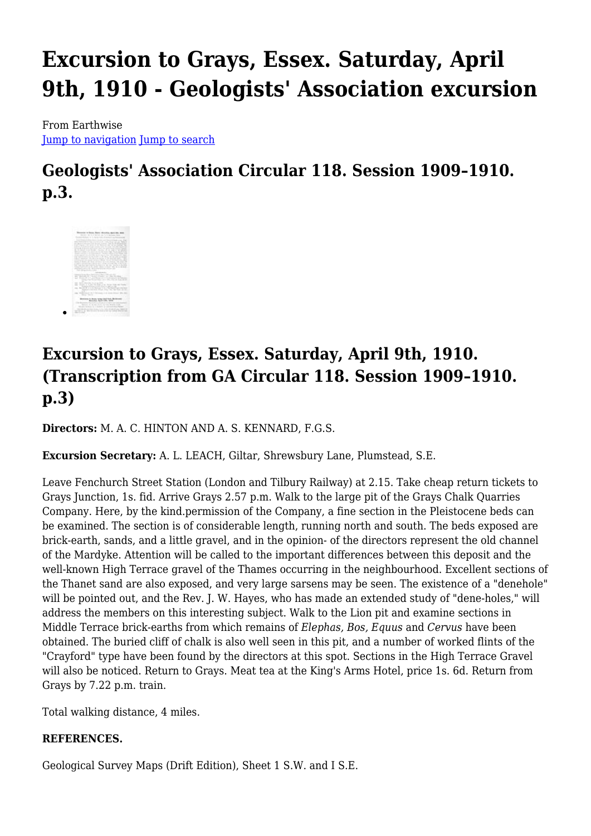# **Excursion to Grays, Essex. Saturday, April 9th, 1910 - Geologists' Association excursion**

From Earthwise [Jump to navigation](#page--1-0) [Jump to search](#page--1-0)

## **Geologists' Association Circular 118. Session 1909–1910. p.3.**



## **Excursion to Grays, Essex. Saturday, April 9th, 1910. (Transcription from GA Circular 118. Session 1909–1910. p.3)**

**Directors:** M. A. C. HINTON AND A. S. KENNARD, F.G.S.

**Excursion Secretary:** A. L. LEACH, Giltar, Shrewsbury Lane, Plumstead, S.E.

Leave Fenchurch Street Station (London and Tilbury Railway) at 2.15. Take cheap return tickets to Grays Junction, 1s. fid. Arrive Grays 2.57 p.m. Walk to the large pit of the Grays Chalk Quarries Company. Here, by the kind.permission of the Company, a fine section in the Pleistocene beds can be examined. The section is of considerable length, running north and south. The beds exposed are brick-earth, sands, and a little gravel, and in the opinion- of the directors represent the old channel of the Mardyke. Attention will be called to the important differences between this deposit and the well-known High Terrace gravel of the Thames occurring in the neighbourhood. Excellent sections of the Thanet sand are also exposed, and very large sarsens may be seen. The existence of a "denehole" will be pointed out, and the Rev. J. W. Hayes, who has made an extended study of "dene-holes," will address the members on this interesting subject. Walk to the Lion pit and examine sections in Middle Terrace brick-earths from which remains of *Elephas, Bos, Equus* and *Cervus* have been obtained. The buried cliff of chalk is also well seen in this pit, and a number of worked flints of the "Crayford" type have been found by the directors at this spot. Sections in the High Terrace Gravel will also be noticed. Return to Grays. Meat tea at the King's Arms Hotel, price 1s. 6d. Return from Grays by 7.22 p.m. train.

Total walking distance, 4 miles.

#### **REFERENCES.**

Geological Survey Maps (Drift Edition), Sheet 1 S.W. and I S.E.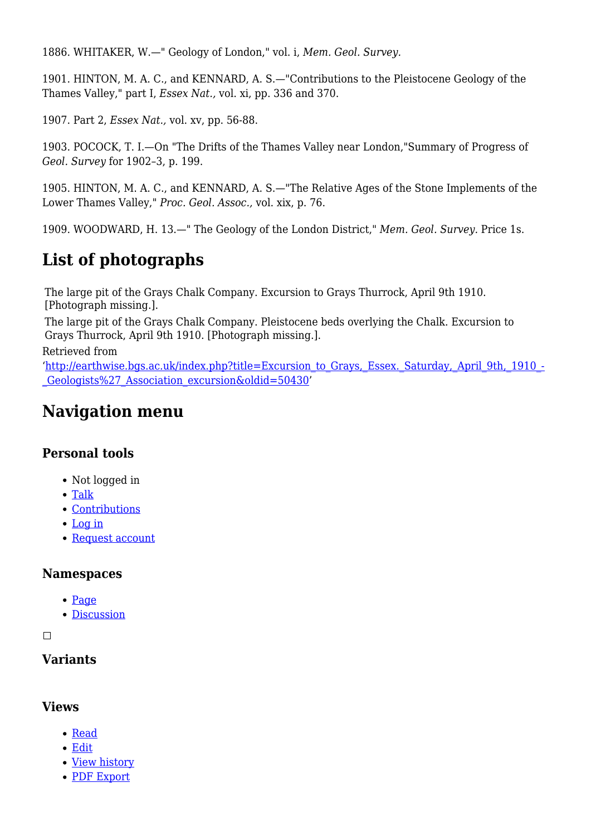1886. WHITAKER, W.—" Geology of London," vol. i, *Mem. Geol. Survey.*

1901. HINTON, M. A. C., and KENNARD, A. S.—"Contributions to the Pleistocene Geology of the Thames Valley," part I, *Essex Nat.,* vol. xi, pp. 336 and 370.

1907. Part 2, *Essex Nat.,* vol. xv, pp. 56-88.

1903. POCOCK, T. I.—On "The Drifts of the Thames Valley near London,"Summary of Progress of *Geol. Survey* for 1902–3, p. 199.

1905. HINTON, M. A. C., and KENNARD, A. S.—"The Relative Ages of the Stone Implements of the Lower Thames Valley," *Proc. Geol. Assoc.,* vol. xix, p. 76.

1909. WOODWARD, H. 13.—" The Geology of the London District," *Mem. Geol. Survey.* Price 1s.

### **List of photographs**

The large pit of the Grays Chalk Company. Excursion to Grays Thurrock, April 9th 1910. [Photograph missing.].

The large pit of the Grays Chalk Company. Pleistocene beds overlying the Chalk. Excursion to Grays Thurrock, April 9th 1910. [Photograph missing.].

Retrieved from

'[http://earthwise.bgs.ac.uk/index.php?title=Excursion\\_to\\_Grays,\\_Essex.\\_Saturday,\\_April\\_9th,\\_1910\\_-](http://earthwise.bgs.ac.uk/index.php?title=Excursion_to_Grays,_Essex._Saturday,_April_9th,_1910_-_Geologists%27_Association_excursion&oldid=50430) [\\_Geologists%27\\_Association\\_excursion&oldid=50430](http://earthwise.bgs.ac.uk/index.php?title=Excursion_to_Grays,_Essex._Saturday,_April_9th,_1910_-_Geologists%27_Association_excursion&oldid=50430)'

### **Navigation menu**

#### **Personal tools**

- Not logged in
- [Talk](http://earthwise.bgs.ac.uk/index.php/Special:MyTalk)
- [Contributions](http://earthwise.bgs.ac.uk/index.php/Special:MyContributions)
- [Log in](http://earthwise.bgs.ac.uk/index.php?title=Special:UserLogin&returnto=Excursion+to+Grays%2C+Essex.+Saturday%2C+April+9th%2C+1910+-+Geologists%27+Association+excursion&returntoquery=action%3Dmpdf)
- [Request account](http://earthwise.bgs.ac.uk/index.php/Special:RequestAccount)

#### **Namespaces**

- [Page](http://earthwise.bgs.ac.uk/index.php/Excursion_to_Grays,_Essex._Saturday,_April_9th,_1910_-_Geologists%27_Association_excursion)
- [Discussion](http://earthwise.bgs.ac.uk/index.php?title=Talk:Excursion_to_Grays,_Essex._Saturday,_April_9th,_1910_-_Geologists%27_Association_excursion&action=edit&redlink=1)

 $\Box$ 

#### **Variants**

#### **Views**

- [Read](http://earthwise.bgs.ac.uk/index.php/Excursion_to_Grays,_Essex._Saturday,_April_9th,_1910_-_Geologists%27_Association_excursion)
- [Edit](http://earthwise.bgs.ac.uk/index.php?title=Excursion_to_Grays,_Essex._Saturday,_April_9th,_1910_-_Geologists%27_Association_excursion&action=edit)
- [View history](http://earthwise.bgs.ac.uk/index.php?title=Excursion_to_Grays,_Essex._Saturday,_April_9th,_1910_-_Geologists%27_Association_excursion&action=history)
- [PDF Export](http://earthwise.bgs.ac.uk/index.php?title=Excursion_to_Grays,_Essex._Saturday,_April_9th,_1910_-_Geologists%27_Association_excursion&action=mpdf)